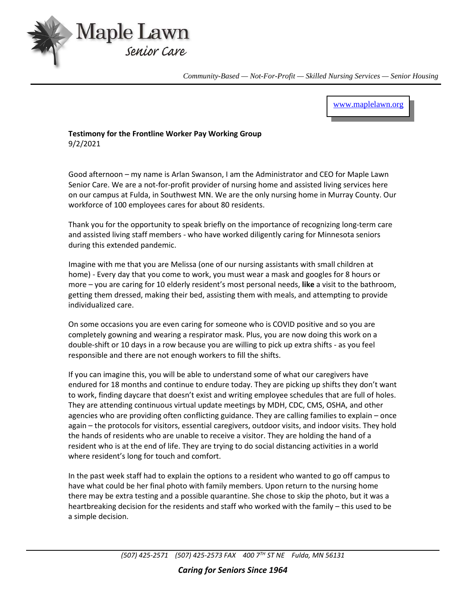

*Community-Based — Not-For-Profit — Skilled Nursing Services — Senior Housing*

[www.maplelawn.org](http://www.maplelawn.org/)

**Testimony for the Frontline Worker Pay Working Group** 9/2/2021

Good afternoon – my name is Arlan Swanson, I am the Administrator and CEO for Maple Lawn Senior Care. We are a not-for-profit provider of nursing home and assisted living services here on our campus at Fulda, in Southwest MN. We are the only nursing home in Murray County. Our workforce of 100 employees cares for about 80 residents.

Thank you for the opportunity to speak briefly on the importance of recognizing long-term care and assisted living staff members - who have worked diligently caring for Minnesota seniors during this extended pandemic.

Imagine with me that you are Melissa (one of our nursing assistants with small children at home) - Every day that you come to work, you must wear a mask and googles for 8 hours or more – you are caring for 10 elderly resident's most personal needs, **like** a visit to the bathroom, getting them dressed, making their bed, assisting them with meals, and attempting to provide individualized care.

On some occasions you are even caring for someone who is COVID positive and so you are completely gowning and wearing a respirator mask. Plus, you are now doing this work on a double-shift or 10 days in a row because you are willing to pick up extra shifts - as you feel responsible and there are not enough workers to fill the shifts.

If you can imagine this, you will be able to understand some of what our caregivers have endured for 18 months and continue to endure today. They are picking up shifts they don't want to work, finding daycare that doesn't exist and writing employee schedules that are full of holes. They are attending continuous virtual update meetings by MDH, CDC, CMS, OSHA, and other agencies who are providing often conflicting guidance. They are calling families to explain – once again – the protocols for visitors, essential caregivers, outdoor visits, and indoor visits. They hold the hands of residents who are unable to receive a visitor. They are holding the hand of a resident who is at the end of life. They are trying to do social distancing activities in a world where resident's long for touch and comfort.

In the past week staff had to explain the options to a resident who wanted to go off campus to have what could be her final photo with family members. Upon return to the nursing home there may be extra testing and a possible quarantine. She chose to skip the photo, but it was a heartbreaking decision for the residents and staff who worked with the family – this used to be a simple decision.